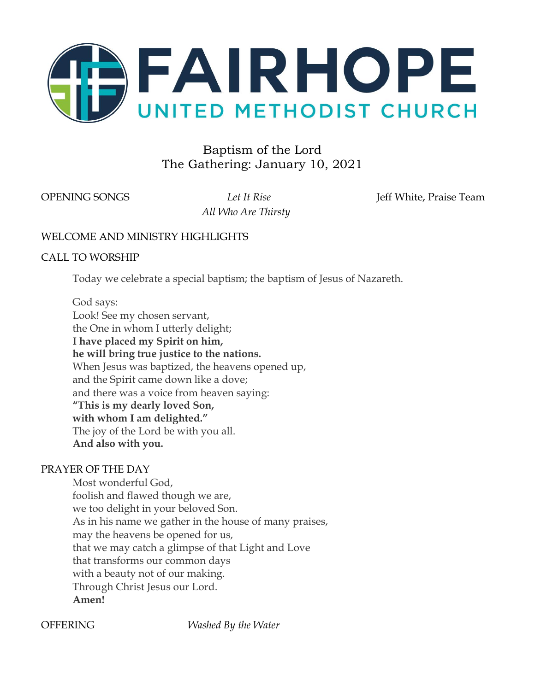

# Baptism of the Lord The Gathering: January 10, 2021

*All Who Are Thirsty*

OPENING SONGS Let It Rise Jeff White, Praise Team

# WELCOME AND MINISTRY HIGHLIGHTS

# CALL TO WORSHIP

Today we celebrate a special baptism; the baptism of Jesus of Nazareth.

God says: Look! See my chosen servant, the One in whom I utterly delight; **I have placed my Spirit on him, he will bring true justice to the nations.** When Jesus was baptized, the heavens opened up, and the Spirit came down like a dove; and there was a voice from heaven saying: **"This is my dearly loved Son, with whom I am delighted."** The joy of the Lord be with you all. **And also with you.**

# PRAYER OF THE DAY

Most wonderful God, foolish and flawed though we are, we too delight in your beloved Son. As in his name we gather in the house of many praises, may the heavens be opened for us, that we may catch a glimpse of that Light and Love that transforms our common days with a beauty not of our making. Through Christ Jesus our Lord. **Amen!**

OFFERING *Washed By the Water*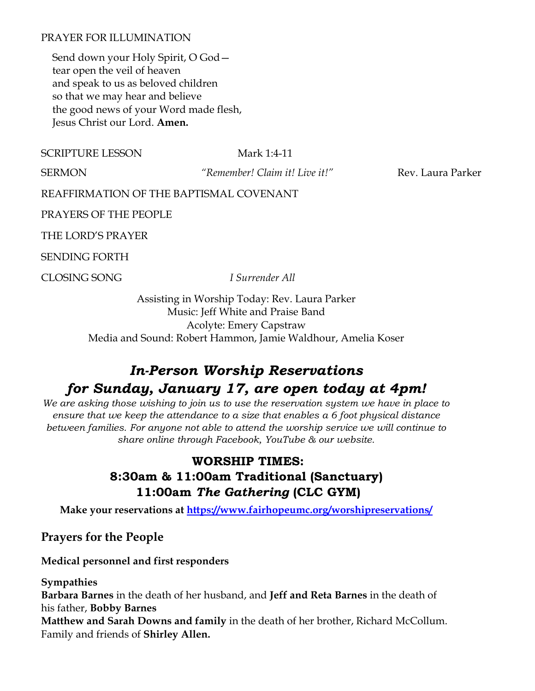# PRAYER FOR ILLUMINATION

Send down your Holy Spirit, O God tear open the veil of heaven and speak to us as beloved children so that we may hear and believe the good news of your Word made flesh, Jesus Christ our Lord. **Amen.**

SCRIPTURE LESSON Mark 1:4-11

SERMON *"Remember! Claim it! Live it!"* Rev. Laura Parker

REAFFIRMATION OF THE BAPTISMAL COVENANT

PRAYERS OF THE PEOPLE

THE LORD'S PRAYER

SENDING FORTH

CLOSING SONG *I Surrender All*

Assisting in Worship Today: Rev. Laura Parker Music: Jeff White and Praise Band Acolyte: Emery Capstraw Media and Sound: Robert Hammon, Jamie Waldhour, Amelia Koser

# *In-Person Worship Reservations for Sunday, January 17, are open today at 4pm!*

*We are asking those wishing to join us to use the reservation system we have in place to ensure that we keep the attendance to a size that enables a 6 foot physical distance between families. For anyone not able to attend the worship service we will continue to share online through Facebook, YouTube & our website.*

# **WORSHIP TIMES: 8:30am & 11:00am Traditional (Sanctuary) 11:00am** *The Gathering* **(CLC GYM)**

**Make your reservations at<https://www.fairhopeumc.org/worshipreservations/>**

**Prayers for the People**

**Medical personnel and first responders**

**Sympathies**

**Barbara Barnes** in the death of her husband, and **Jeff and Reta Barnes** in the death of his father, **Bobby Barnes**

**Matthew and Sarah Downs and family** in the death of her brother, Richard McCollum. Family and friends of **Shirley Allen.**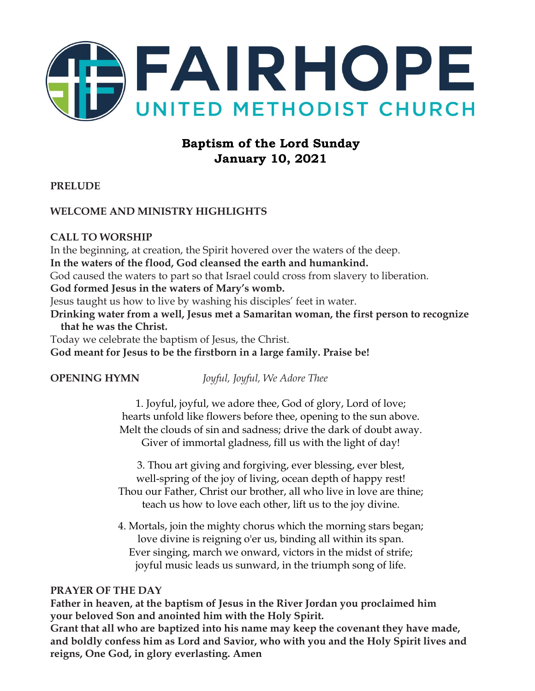

# **Baptism of the Lord Sunday January 10, 2021**

**PRELUDE** 

# **WELCOME AND MINISTRY HIGHLIGHTS**

# **CALL TO WORSHIP**

In the beginning, at creation, the Spirit hovered over the waters of the deep.

**In the waters of the flood, God cleansed the earth and humankind.** 

God caused the waters to part so that Israel could cross from slavery to liberation.

**God formed Jesus in the waters of Mary's womb.** 

Jesus taught us how to live by washing his disciples' feet in water.

**Drinking water from a well, Jesus met a Samaritan woman, the first person to recognize that he was the Christ.** 

Today we celebrate the baptism of Jesus, the Christ.

**God meant for Jesus to be the firstborn in a large family. Praise be!** 

**OPENING HYMN** *Joyful, Joyful, We Adore Thee* 

1. Joyful, joyful, we adore thee, God of glory, Lord of love; hearts unfold like flowers before thee, opening to the sun above. Melt the clouds of sin and sadness; drive the dark of doubt away. Giver of immortal gladness, fill us with the light of day!

3. Thou art giving and forgiving, ever blessing, ever blest, well-spring of the joy of living, ocean depth of happy rest! Thou our Father, Christ our brother, all who live in love are thine; teach us how to love each other, lift us to the joy divine.

4. Mortals, join the mighty chorus which the morning stars began; love divine is reigning o'er us, binding all within its span. Ever singing, march we onward, victors in the midst of strife; joyful music leads us sunward, in the triumph song of life.

# **PRAYER OF THE DAY**

**Father in heaven, at the baptism of Jesus in the River Jordan you proclaimed him your beloved Son and anointed him with the Holy Spirit. Grant that all who are baptized into his name may keep the covenant they have made, and boldly confess him as Lord and Savior, who with you and the Holy Spirit lives and reigns, One God, in glory everlasting. Amen**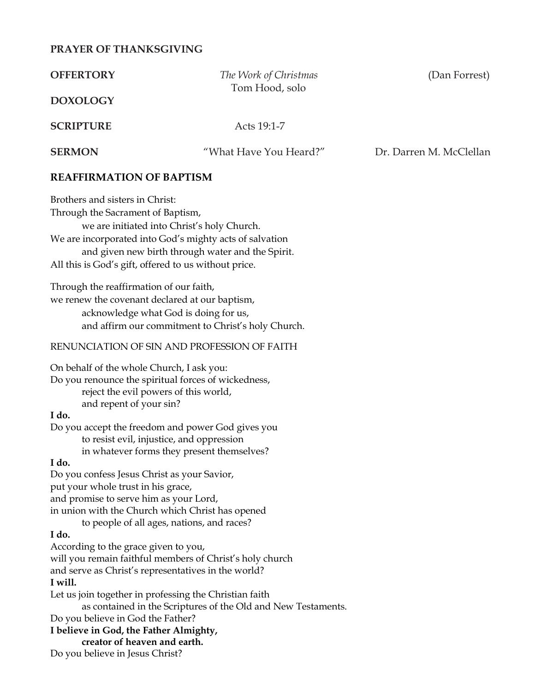# **PRAYER OF THANKSGIVING**

| <b>OFFERTORY</b>                                                                                                                                                                                         | The Work of Christmas<br>Tom Hood, solo                                                                                                                     | (Dan Forrest)           |
|----------------------------------------------------------------------------------------------------------------------------------------------------------------------------------------------------------|-------------------------------------------------------------------------------------------------------------------------------------------------------------|-------------------------|
| <b>DOXOLOGY</b>                                                                                                                                                                                          |                                                                                                                                                             |                         |
| <b>SCRIPTURE</b>                                                                                                                                                                                         | Acts 19:1-7                                                                                                                                                 |                         |
| <b>SERMON</b>                                                                                                                                                                                            | "What Have You Heard?"                                                                                                                                      | Dr. Darren M. McClellan |
| <b>REAFFIRMATION OF BAPTISM</b>                                                                                                                                                                          |                                                                                                                                                             |                         |
| Brothers and sisters in Christ:<br>Through the Sacrament of Baptism,<br>All this is God's gift, offered to us without price.                                                                             | we are initiated into Christ's holy Church.<br>We are incorporated into God's mighty acts of salvation<br>and given new birth through water and the Spirit. |                         |
| Through the reaffirmation of our faith,<br>we renew the covenant declared at our baptism,                                                                                                                | acknowledge what God is doing for us,<br>and affirm our commitment to Christ's holy Church.                                                                 |                         |
|                                                                                                                                                                                                          | RENUNCIATION OF SIN AND PROFESSION OF FAITH                                                                                                                 |                         |
| On behalf of the whole Church, I ask you:<br>Do you renounce the spiritual forces of wickedness,<br>reject the evil powers of this world,<br>and repent of your sin?                                     |                                                                                                                                                             |                         |
| I do.<br>to resist evil, injustice, and oppression                                                                                                                                                       | Do you accept the freedom and power God gives you<br>in whatever forms they present themselves?                                                             |                         |
| I do.<br>Do you confess Jesus Christ as your Savior,<br>put your whole trust in his grace,<br>and promise to serve him as your Lord,<br>in union with the Church which Christ has opened                 |                                                                                                                                                             |                         |
| I do.<br>According to the grace given to you,<br>and serve as Christ's representatives in the world?<br>I will.                                                                                          | to people of all ages, nations, and races?<br>will you remain faithful members of Christ's holy church                                                      |                         |
| Let us join together in professing the Christian faith<br>Do you believe in God the Father?<br>I believe in God, the Father Almighty,<br>creator of heaven and earth.<br>Do you believe in Jesus Christ? | as contained in the Scriptures of the Old and New Testaments.                                                                                               |                         |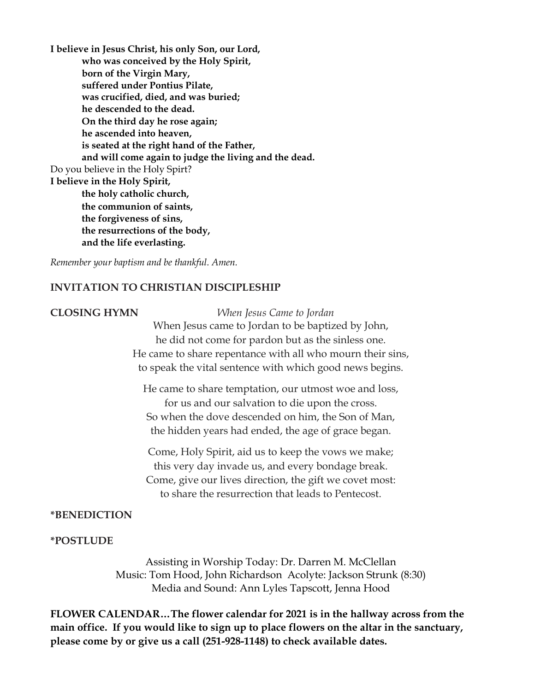**I believe in Jesus Christ, his only Son, our Lord, who was conceived by the Holy Spirit, born of the Virgin Mary, suffered under Pontius Pilate, was crucified, died, and was buried; he descended to the dead. On the third day he rose again; he ascended into heaven, is seated at the right hand of the Father, and will come again to judge the living and the dead.**  Do you believe in the Holy Spirt? **I believe in the Holy Spirit, the holy catholic church, the communion of saints, the forgiveness of sins, the resurrections of the body, and the life everlasting.** 

*Remember your baptism and be thankful. Amen.*

### **INVITATION TO CHRISTIAN DISCIPLESHIP**

**CLOSING HYMN** *When Jesus Came to Jordan* When Jesus came to Jordan to be baptized by John, he did not come for pardon but as the sinless one. He came to share repentance with all who mourn their sins, to speak the vital sentence with which good news begins.

> He came to share temptation, our utmost woe and loss, for us and our salvation to die upon the cross. So when the dove descended on him, the Son of Man, the hidden years had ended, the age of grace began.

Come, Holy Spirit, aid us to keep the vows we make; this very day invade us, and every bondage break. Come, give our lives direction, the gift we covet most: to share the resurrection that leads to Pentecost.

#### **\*BENEDICTION**

#### **\*POSTLUDE**

Assisting in Worship Today: Dr. Darren M. McClellan Music: Tom Hood, John Richardson Acolyte: Jackson Strunk (8:30) Media and Sound: Ann Lyles Tapscott, Jenna Hood

**FLOWER CALENDAR…The flower calendar for 2021 is in the hallway across from the main office. If you would like to sign up to place flowers on the altar in the sanctuary, please come by or give us a call (251-928-1148) to check available dates.**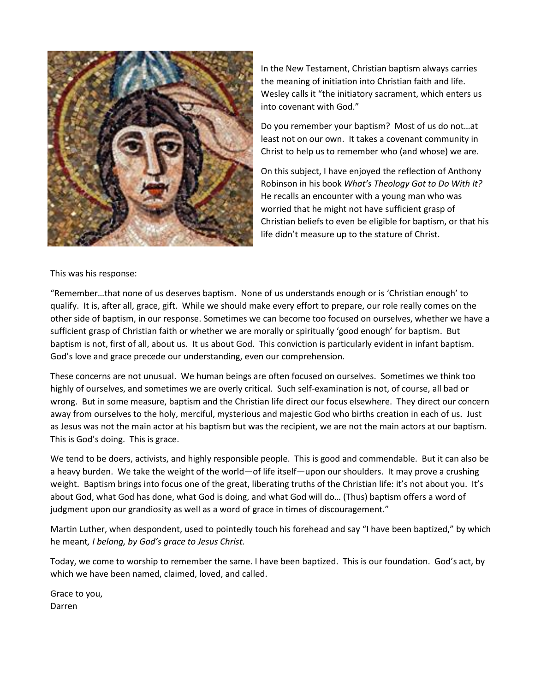

In the New Testament, Christian baptism always carries the meaning of initiation into Christian faith and life. Wesley calls it "the initiatory sacrament, which enters us into covenant with God."

Do you remember your baptism? Most of us do not…at least not on our own. It takes a covenant community in Christ to help us to remember who (and whose) we are.

On this subject, I have enjoyed the reflection of Anthony Robinson in his book *What's Theology Got to Do With It?*  He recalls an encounter with a young man who was worried that he might not have sufficient grasp of Christian beliefs to even be eligible for baptism, or that his life didn't measure up to the stature of Christ.

This was his response:

"Remember…that none of us deserves baptism. None of us understands enough or is 'Christian enough' to qualify. It is, after all, grace, gift. While we should make every effort to prepare, our role really comes on the other side of baptism, in our response. Sometimes we can become too focused on ourselves, whether we have a sufficient grasp of Christian faith or whether we are morally or spiritually 'good enough' for baptism. But baptism is not, first of all, about us. It us about God. This conviction is particularly evident in infant baptism. God's love and grace precede our understanding, even our comprehension.

These concerns are not unusual. We human beings are often focused on ourselves. Sometimes we think too highly of ourselves, and sometimes we are overly critical. Such self-examination is not, of course, all bad or wrong. But in some measure, baptism and the Christian life direct our focus elsewhere. They direct our concern away from ourselves to the holy, merciful, mysterious and majestic God who births creation in each of us. Just as Jesus was not the main actor at his baptism but was the recipient, we are not the main actors at our baptism. This is God's doing. This is grace.

We tend to be doers, activists, and highly responsible people. This is good and commendable. But it can also be a heavy burden. We take the weight of the world—of life itself—upon our shoulders. It may prove a crushing weight. Baptism brings into focus one of the great, liberating truths of the Christian life: it's not about you. It's about God, what God has done, what God is doing, and what God will do… (Thus) baptism offers a word of judgment upon our grandiosity as well as a word of grace in times of discouragement."

Martin Luther, when despondent, used to pointedly touch his forehead and say "I have been baptized," by which he meant*, I belong, by God's grace to Jesus Christ.*

Today, we come to worship to remember the same. I have been baptized. This is our foundation. God's act, by which we have been named, claimed, loved, and called.

Grace to you, Darren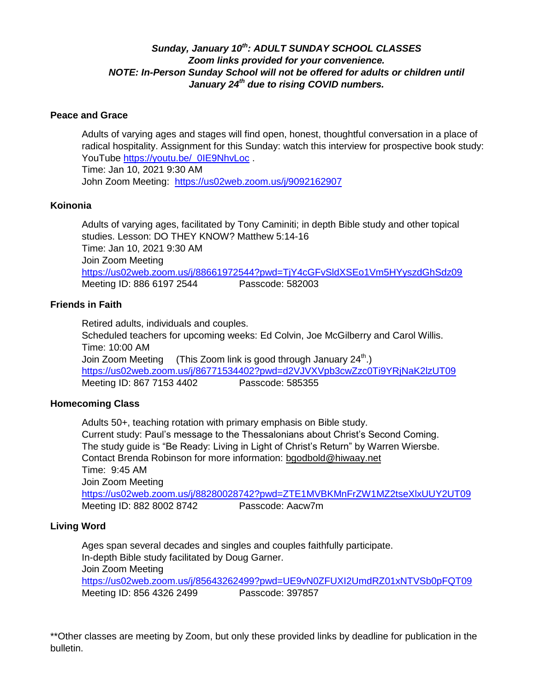### *Sunday, January 10th: ADULT SUNDAY SCHOOL CLASSES Zoom links provided for your convenience. NOTE: In-Person Sunday School will not be offered for adults or children until January 24th due to rising COVID numbers.*

#### **Peace and Grace**

Adults of varying ages and stages will find open, honest, thoughtful conversation in a place of radical hospitality. Assignment for this Sunday: watch this interview for prospective book study: YouTube [https://youtu.be/\\_0IE9NhvLoc](https://youtu.be/_0IE9NhvLoc). Time: Jan 10, 2021 9:30 AM John Zoom Meeting: <https://us02web.zoom.us/j/9092162907>

#### **Koinonia**

Adults of varying ages, facilitated by Tony Caminiti; in depth Bible study and other topical studies. Lesson: DO THEY KNOW? Matthew 5:14-16 Time: Jan 10, 2021 9:30 AM Join Zoom Meeting <https://us02web.zoom.us/j/88661972544?pwd=TjY4cGFvSldXSEo1Vm5HYyszdGhSdz09> Meeting ID: 886 6197 2544 Passcode: 582003

#### **Friends in Faith**

Retired adults, individuals and couples. Scheduled teachers for upcoming weeks: Ed Colvin, Joe McGilberry and Carol Willis. Time: 10:00 AM Join Zoom Meeting (This Zoom link is good through January  $24<sup>th</sup>$ .) <https://us02web.zoom.us/j/86771534402?pwd=d2VJVXVpb3cwZzc0Ti9YRjNaK2lzUT09> Meeting ID: 867 7153 4402 Passcode: 585355

#### **Homecoming Class**

Adults 50+, teaching rotation with primary emphasis on Bible study. Current study: Paul's message to the Thessalonians about Christ's Second Coming. The study guide is "Be Ready: Living in Light of Christ's Return" by Warren Wiersbe. Contact Brenda Robinson for more information: [bgodbold@hiwaay.net](mailto:bgodbold@hiwaay.net) Time: 9:45 AM Join Zoom Meeting <https://us02web.zoom.us/j/88280028742?pwd=ZTE1MVBKMnFrZW1MZ2tseXlxUUY2UT09> Meeting ID: 882 8002 8742 Passcode: Aacw7m

#### **Living Word**

Ages span several decades and singles and couples faithfully participate. In-depth Bible study facilitated by Doug Garner. Join Zoom Meeting <https://us02web.zoom.us/j/85643262499?pwd=UE9vN0ZFUXI2UmdRZ01xNTVSb0pFQT09> Meeting ID: 856 4326 2499 Passcode: 397857

\*\*Other classes are meeting by Zoom, but only these provided links by deadline for publication in the bulletin.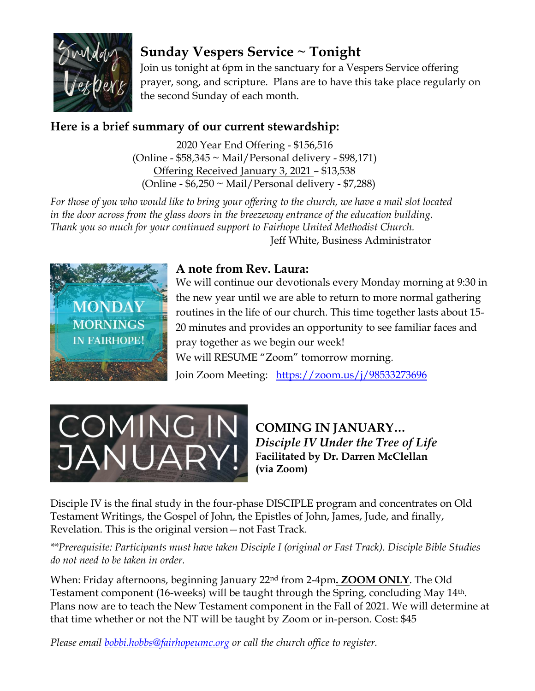

# **Sunday Vespers Service ~ Tonight**

Join us tonight at 6pm in the sanctuary for a Vespers Service offering prayer, song, and scripture. Plans are to have this take place regularly on the second Sunday of each month.

# **Here is a brief summary of our current stewardship:**

2020 Year End Offering - \$156,516 (Online - \$58,345 ~ Mail/Personal delivery - \$98,171) Offering Received January 3, 2021 – \$13,538 (Online -  $$6,250 \sim$  Mail/Personal delivery -  $$7,288$ )

*For those of you who would like to bring your offering to the church, we have a mail slot located in the door across from the glass doors in the breezeway entrance of the education building. Thank you so much for your continued support to Fairhope United Methodist Church.* Jeff White, Business Administrator



# **A note from Rev. Laura:**

We will continue our devotionals every Monday morning at 9:30 in the new year until we are able to return to more normal gathering routines in the life of our church. This time together lasts about 15- 20 minutes and provides an opportunity to see familiar faces and pray together as we begin our week! We will RESUME "Zoom" tomorrow morning. Join Zoom Meeting: <https://zoom.us/j/98533273696>



**COMING IN JANUARY…** *Disciple IV Under the Tree of Life* **Facilitated by Dr. Darren McClellan (via Zoom)** 

Disciple IV is the final study in the four-phase DISCIPLE program and concentrates on Old Testament Writings, the Gospel of John, the Epistles of John, James, Jude, and finally, Revelation. This is the original version—not Fast Track.

*\*\*Prerequisite: Participants must have taken Disciple I (original or Fast Track). Disciple Bible Studies do not need to be taken in order.* 

When: Friday afternoons, beginning January 22nd from 2-4pm**. ZOOM ONLY**. The Old Testament component (16-weeks) will be taught through the Spring, concluding May 14th. Plans now are to teach the New Testament component in the Fall of 2021. We will determine at that time whether or not the NT will be taught by Zoom or in-person. Cost: \$45

*Please email [bobbi.hobbs@fairhopeumc.org](mailto:bobbi.hobbs@fairhopeumc.org) or call the church office to register.*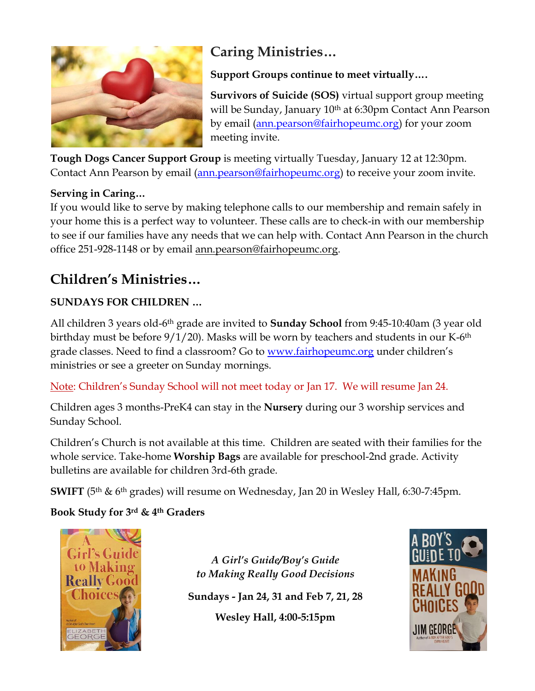

# **Caring Ministries…**

**Support Groups continue to meet virtually….**

**Survivors of Suicide (SOS)** virtual support group meeting will be Sunday, January 10<sup>th</sup> at 6:30pm Contact Ann Pearson by email [\(ann.pearson@fairhopeumc.org\)](mailto:ann.pearson@fairhopeumc.org) for your zoom meeting invite.

**Tough Dogs Cancer Support Group** is meeting virtually Tuesday, January 12 at 12:30pm. Contact Ann Pearson by email [\(ann.pearson@fairhopeumc.org\)](mailto:ann.pearson@fairhopeumc.org) to receive your zoom invite.

# **Serving in Caring…**

If you would like to serve by making telephone calls to our membership and remain safely in your home this is a perfect way to volunteer. These calls are to check-in with our membership to see if our families have any needs that we can help with. Contact Ann Pearson in the church office 251-928-1148 or by email ann.pearson@fairhopeumc.org.

# **Children's Ministries…**

# **SUNDAYS FOR CHILDREN …**

All children 3 years old-6th grade are invited to **Sunday School** from 9:45-10:40am (3 year old birthday must be before  $9/1/20$ ). Masks will be worn by teachers and students in our K-6<sup>th</sup> grade classes. Need to find a classroom? Go to [www.fairhopeumc.org](http://www.fairhopeumc.org/) under children's ministries or see a greeter on Sunday mornings.

Note: Children's Sunday School will not meet today or Jan 17. We will resume Jan 24.

Children ages 3 months-PreK4 can stay in the **Nursery** during our 3 worship services and Sunday School.

Children's Church is not available at this time. Children are seated with their families for the whole service. Take-home **Worship Bags** are available for preschool-2nd grade. Activity bulletins are available for children 3rd-6th grade.

**SWIFT** (5th & 6th grades) will resume on Wednesday, Jan 20 in Wesley Hall, 6:30-7:45pm.

**Book Study for 3rd & 4th Graders**



*A Girl's Guide/Boy's Guide to Making Really Good Decisions*

**Sundays - Jan 24, 31 and Feb 7, 21, 28**

**Wesley Hall, 4:00-5:15pm**

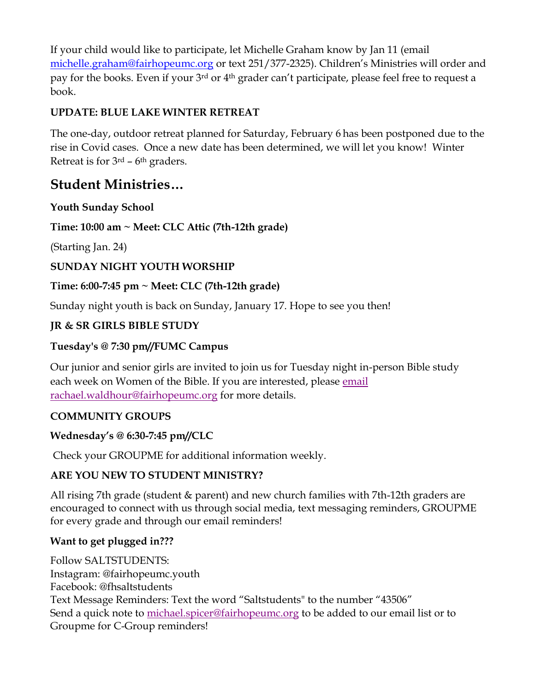If your child would like to participate, let Michelle Graham know by Jan 11 (email [michelle.graham@fairhopeumc.org](mailto:michelle.graham@fairhopeumc.org) or text 251/377-2325). Children's Ministries will order and pay for the books. Even if your 3<sup>rd</sup> or 4<sup>th</sup> grader can't participate, please feel free to request a book.

# **UPDATE: BLUE LAKE WINTER RETREAT**

The one-day, outdoor retreat planned for Saturday, February 6 has been postponed due to the rise in Covid cases. Once a new date has been determined, we will let you know! Winter Retreat is for  $3<sup>rd</sup>$  – 6<sup>th</sup> graders.

# **Student Ministries…**

**Youth Sunday School**

# **Time: 10:00 am ~ Meet: CLC Attic (7th-12th grade)**

(Starting Jan. 24)

# **SUNDAY NIGHT YOUTH WORSHIP**

# **Time: 6:00-7:45 pm ~ Meet: CLC (7th-12th grade)**

Sunday night youth is back on Sunday, January 17. Hope to see you then!

# **JR & SR GIRLS BIBLE STUDY**

# **Tuesday's @ 7:30 pm//FUMC Campus**

Our junior and senior girls are invited to join us for Tuesday night in-person Bible study each week on Women of the Bible. If you are interested, please [email](mailto:rachael.waldhour@fairhopeumc.org)  [rachael.waldhour@fairhopeumc.org](mailto:rachael.waldhour@fairhopeumc.org) for more details.

# **COMMUNITY GROUPS**

# **Wednesday's @ 6:30-7:45 pm//CLC**

Check your GROUPME for additional information weekly.

# **ARE YOU NEW TO STUDENT MINISTRY?**

All rising 7th grade (student & parent) and new church families with 7th-12th graders are encouraged to connect with us through social media, text messaging reminders, GROUPME for every grade and through our email reminders!

# **Want to get plugged in???**

Follow SALTSTUDENTS: Instagram: @fairhopeumc.youth Facebook: @fhsaltstudents Text Message Reminders: Text the word "Saltstudents" to the number "43506" Send a quick note to [michael.spicer@fairhopeumc.org](mailto:michael.spicer@fairhopeumc.org) to be added to our email list or to Groupme for C-Group reminders!